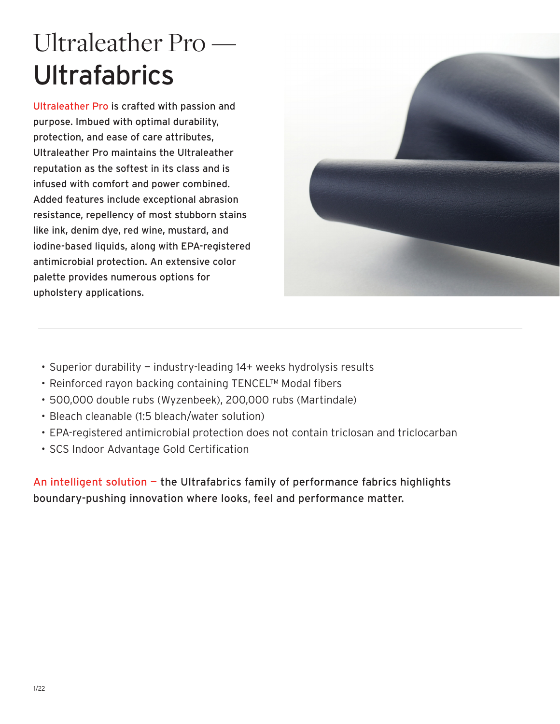# Ultraleather Pro — **Ultrafabrics**

Ultraleather Pro is crafted with passion and purpose. Imbued with optimal durability, protection, and ease of care attributes, Ultraleather Pro maintains the Ultraleather reputation as the softest in its class and is infused with comfort and power combined. Added features include exceptional abrasion resistance, repellency of most stubborn stains like ink, denim dye, red wine, mustard, and iodine-based liquids, along with EPA-registered antimicrobial protection. An extensive color palette provides numerous options for upholstery applications.



- Superior durability industry-leading 14+ weeks hydrolysis results
- Reinforced rayon backing containing TENCEL™ Modal fibers
- 500,000 double rubs (Wyzenbeek), 200,000 rubs (Martindale)
- Bleach cleanable (1:5 bleach/water solution)
- EPA-registered antimicrobial protection does not contain triclosan and triclocarban
- SCS Indoor Advantage Gold Certification

An intelligent solution - the Ultrafabrics family of performance fabrics highlights boundary-pushing innovation where looks, feel and performance matter.